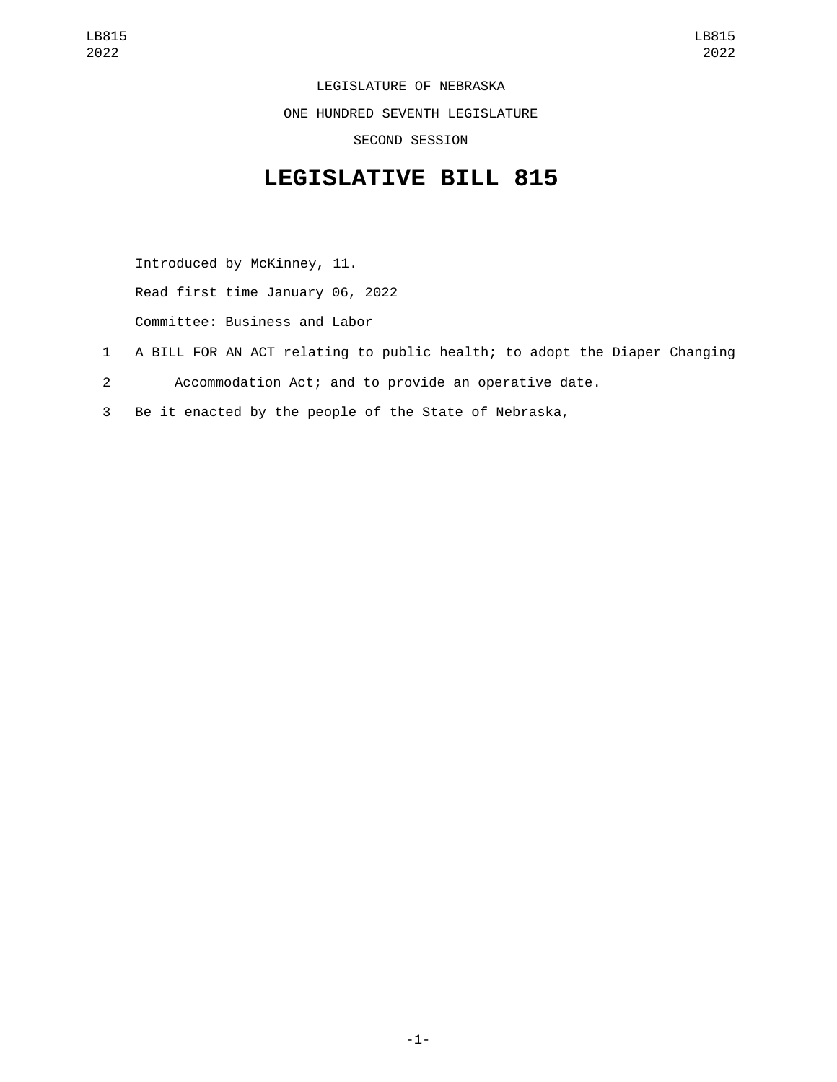LEGISLATURE OF NEBRASKA ONE HUNDRED SEVENTH LEGISLATURE SECOND SESSION

## **LEGISLATIVE BILL 815**

Introduced by McKinney, 11. Read first time January 06, 2022 Committee: Business and Labor

- 1 A BILL FOR AN ACT relating to public health; to adopt the Diaper Changing 2 Accommodation Act; and to provide an operative date.
- 3 Be it enacted by the people of the State of Nebraska,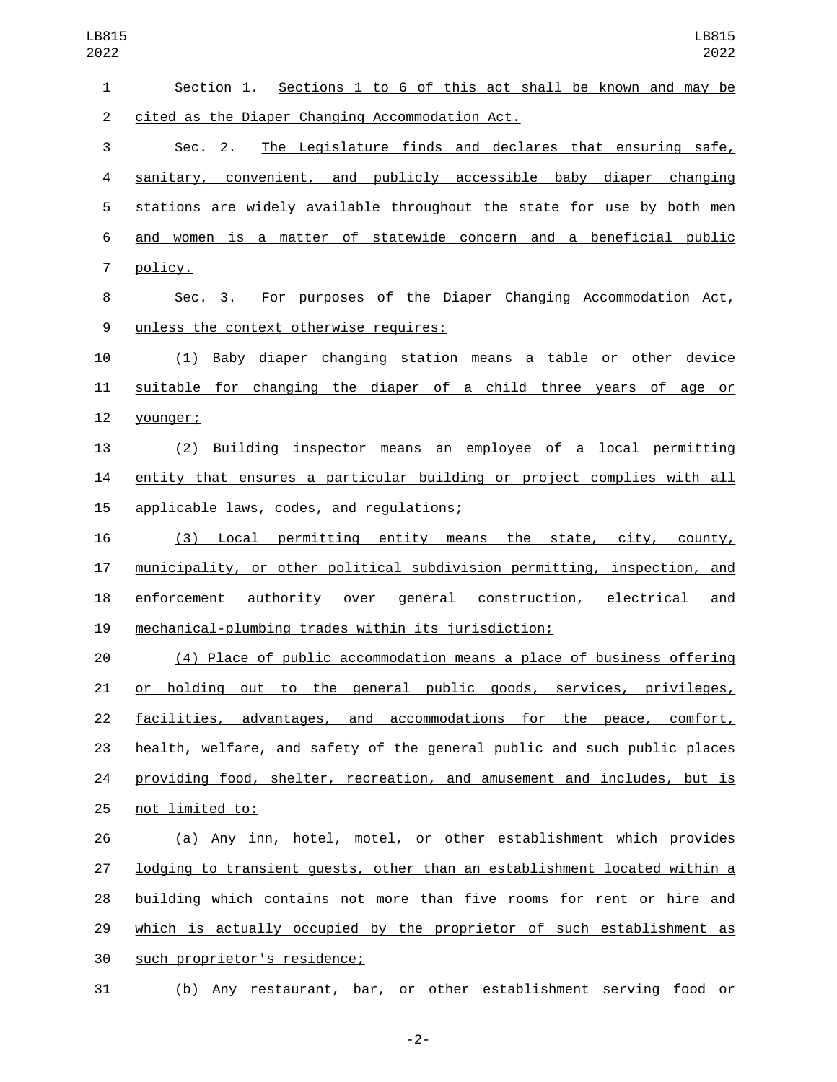| 1              | Section 1. Sections 1 to 6 of this act shall be known and may be          |
|----------------|---------------------------------------------------------------------------|
| $\overline{2}$ | cited as the Diaper Changing Accommodation Act.                           |
| 3              | The Legislature finds and declares that ensuring safe,<br>Sec. 2.         |
| 4              | sanitary, convenient, and publicly accessible baby diaper changing        |
| 5              | stations are widely available throughout the state for use by both men    |
| 6              | and women is a matter of statewide concern and a beneficial public        |
| 7              | policy.                                                                   |
| 8              | Sec. 3. For purposes of the Diaper Changing Accommodation Act,            |
| 9              | unless the context otherwise requires:                                    |
| 10             | Baby diaper changing station means a table or other device<br>(1)         |
| 11             | suitable for changing the diaper of a child three years of age or         |
| 12             | younger;                                                                  |
| 13             | (2) Building inspector means an employee of a local permitting            |
| 14             | entity that ensures a particular building or project complies with all    |
| 15             | applicable laws, codes, and regulations;                                  |
| 16             | (3) Local permitting entity means the state, city, county,                |
| 17             | municipality, or other political subdivision permitting, inspection, and  |
| 18             | enforcement authority over general construction, electrical<br>and        |
| 19             | mechanical-plumbing trades within its jurisdiction;                       |
| 20             | (4) Place of public accommodation means a place of business offering      |
| 21             | holding out to the general public goods, services, privileges,<br>or      |
| 22             | <u>facilities, advantages, and accommodations for the peace, comfort,</u> |
| 23             | health, welfare, and safety of the general public and such public places  |
| 24             | providing food, shelter, recreation, and amusement and includes, but is   |
| 25             | not limited to:                                                           |
| 26             | (a) Any inn, hotel, motel, or other establishment which provides          |
| 27             | lodging to transient guests, other than an establishment located within a |
| 28             | building which contains not more than five rooms for rent or hire and     |
| 29             | which is actually occupied by the proprietor of such establishment as     |
| 30             | such proprietor's residence;                                              |
| 31             | (b) Any restaurant, bar, or other establishment serving food or           |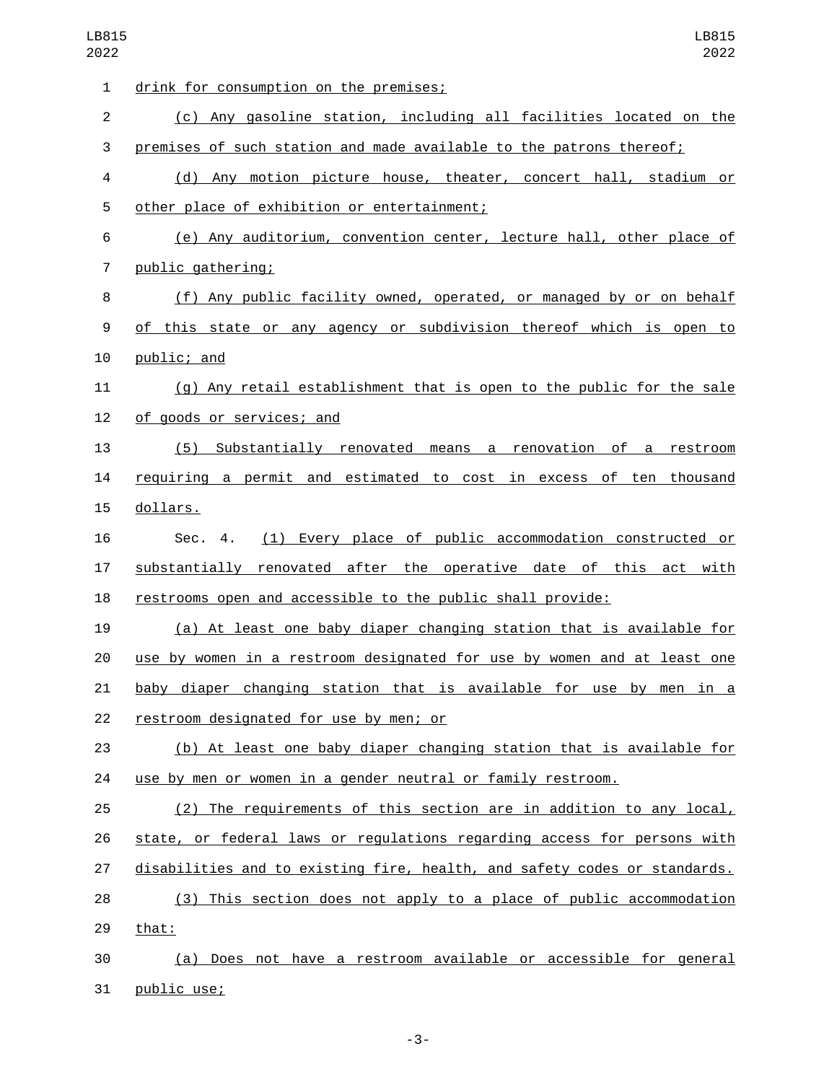| 1              | drink for consumption on the premises;                                    |
|----------------|---------------------------------------------------------------------------|
| $\overline{c}$ | (c) Any gasoline station, including all facilities located on the         |
| 3              | premises of such station and made available to the patrons thereof;       |
| 4              | (d) Any motion picture house, theater, concert hall, stadium or           |
| 5              | other place of exhibition or entertainment;                               |
| 6              | (e) Any auditorium, convention center, lecture hall, other place of       |
| 7              | public gathering;                                                         |
| 8              | (f) Any public facility owned, operated, or managed by or on behalf       |
| 9              | of this state or any agency or subdivision thereof which is open to       |
| 10             | public; and                                                               |
| 11             | (g) Any retail establishment that is open to the public for the sale      |
| 12             | of goods or services; and                                                 |
| 13             | <u>(5) Substantially renovated means a renovation of a restroom</u>       |
| 14             | requiring a permit and estimated to cost in excess of ten thousand        |
| 15             | dollars.                                                                  |
| 16             | Sec. 4. (1) Every place of public accommodation constructed or            |
| 17             | substantially renovated after the operative date of this act with         |
| 18             | restrooms open and accessible to the public shall provide:                |
| 19             | (a) At least one baby diaper changing station that is available for       |
| 20             | use by women in a restroom designated for use by women and at least one   |
| 21             | baby diaper changing station that is available for use by<br>men in a     |
| 22             | restroom designated for use by men; or                                    |
| 23             | (b) At least one baby diaper changing station that is available for       |
| 24             | use by men or women in a gender neutral or family restroom.               |
| 25             | (2) The requirements of this section are in addition to any local,        |
| 26             | state, or federal laws or regulations regarding access for persons with   |
| 27             | disabilities and to existing fire, health, and safety codes or standards. |
| 28             | (3) This section does not apply to a place of public accommodation        |
| 29             | that:                                                                     |
| 30             | Does not have a restroom available or accessible for general<br>(a)       |
| 31             | public use;                                                               |

-3-